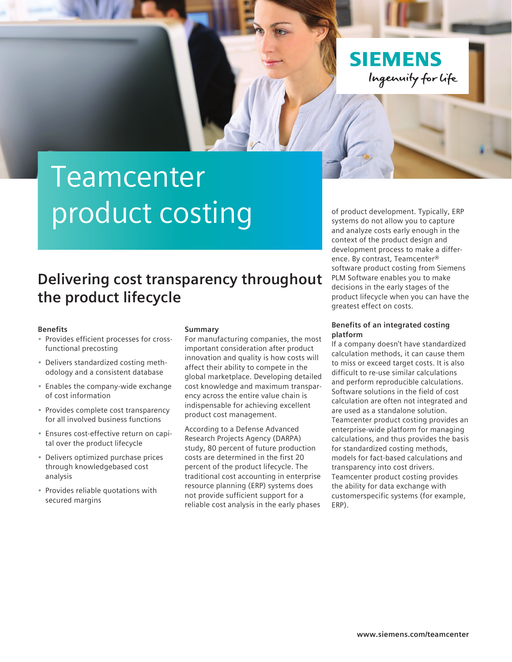

# Teamcenter product costing

### **Delivering cost transparency throughout the product lifecycle**

#### **Benefits**

- Provides efficient processes for crossfunctional precosting
- Delivers standardized costing methodology and a consistent database
- Enables the company-wide exchange of cost information
- Provides complete cost transparency for all involved business functions
- Ensures cost-effective return on capital over the product lifecycle
- Delivers optimized purchase prices through knowledgebased cost analysis
- Provides reliable quotations with secured margins

#### **Summary**

For manufacturing companies, the most important consideration after product innovation and quality is how costs will affect their ability to compete in the global marketplace. Developing detailed cost knowledge and maximum transparency across the entire value chain is indispensable for achieving excellent product cost management.

According to a Defense Advanced Research Projects Agency (DARPA) study, 80 percent of future production costs are determined in the first 20 percent of the product lifecycle. The traditional cost accounting in enterprise resource planning (ERP) systems does not provide sufficient support for a reliable cost analysis in the early phases

of product development. Typically, ERP systems do not allow you to capture and analyze costs early enough in the context of the product design and development process to make a difference. By contrast, Teamcenter® software product costing from Siemens PLM Software enables you to make decisions in the early stages of the product lifecycle when you can have the greatest effect on costs.

#### **Benefits of an integrated costing platform**

If a company doesn't have standardized calculation methods, it can cause them to miss or exceed target costs. It is also difficult to re-use similar calculations and perform reproducible calculations. Software solutions in the field of cost calculation are often not integrated and are used as a standalone solution. Teamcenter product costing provides an enterprise-wide platform for managing calculations, and thus provides the basis for standardized costing methods, models for fact-based calculations and transparency into cost drivers. Teamcenter product costing provides the ability for data exchange with customerspecific systems (for example, ERP).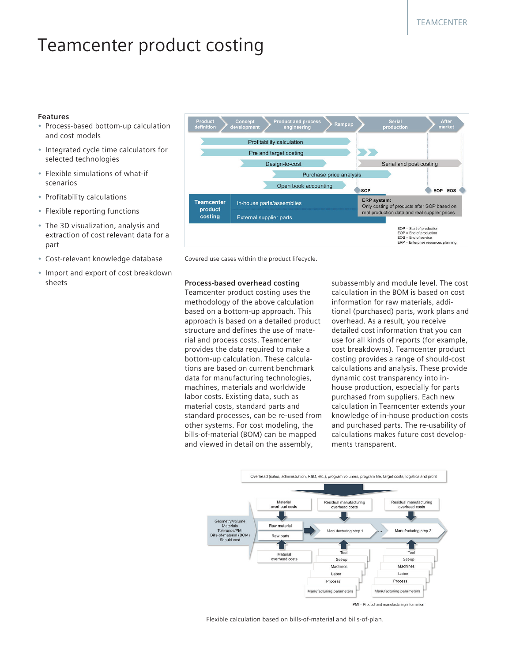## Teamcenter product costing

#### **Features**

- Process-based bottom-up calculation and cost models
- Integrated cycle time calculators for selected technologies
- Flexible simulations of what-if scenarios
- Profitability calculations
- Flexible reporting functions
- The 3D visualization, analysis and extraction of cost relevant data for a part
- Cost-relevant knowledge database
- Import and export of cost breakdown sheets



Covered use cases within the product lifecycle.

#### **Process-based overhead costing**

Teamcenter product costing uses the methodology of the above calculation based on a bottom-up approach. This approach is based on a detailed product structure and defines the use of material and process costs. Teamcenter provides the data required to make a bottom-up calculation. These calculations are based on current benchmark data for manufacturing technologies, machines, materials and worldwide labor costs. Existing data, such as material costs, standard parts and standard processes, can be re-used from other systems. For cost modeling, the bills-of-material (BOM) can be mapped and viewed in detail on the assembly,

subassembly and module level. The cost calculation in the BOM is based on cost information for raw materials, additional (purchased) parts, work plans and overhead. As a result, you receive detailed cost information that you can use for all kinds of reports (for example, cost breakdowns). Teamcenter product costing provides a range of should-cost calculations and analysis. These provide dynamic cost transparency into inhouse production, especially for parts purchased from suppliers. Each new calculation in Teamcenter extends your knowledge of in-house production costs and purchased parts. The re-usability of calculations makes future cost developments transparent.



Flexible calculation based on bills-of-material and bills-of-plan.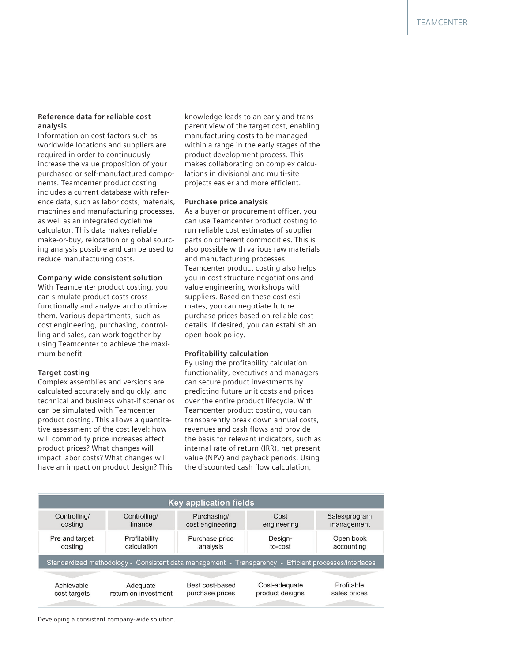#### **Reference data for reliable cost analysis**

Information on cost factors such as worldwide locations and suppliers are required in order to continuously increase the value proposition of your purchased or self-manufactured components. Teamcenter product costing includes a current database with reference data, such as labor costs, materials, machines and manufacturing processes, as well as an integrated cycletime calculator. This data makes reliable make-or-buy, relocation or global sourcing analysis possible and can be used to reduce manufacturing costs.

#### **Company-wide consistent solution**

With Teamcenter product costing, you can simulate product costs crossfunctionally and analyze and optimize them. Various departments, such as cost engineering, purchasing, controlling and sales, can work together by using Teamcenter to achieve the maximum benefit.

#### **Target costing**

Complex assemblies and versions are calculated accurately and quickly, and technical and business what-if scenarios can be simulated with Teamcenter product costing. This allows a quantitative assessment of the cost level: how will commodity price increases affect product prices? What changes will impact labor costs? What changes will have an impact on product design? This

knowledge leads to an early and transparent view of the target cost, enabling manufacturing costs to be managed within a range in the early stages of the product development process. This makes collaborating on complex calculations in divisional and multi-site projects easier and more efficient.

#### **Purchase price analysis**

As a buyer or procurement officer, you can use Teamcenter product costing to run reliable cost estimates of supplier parts on different commodities. This is also possible with various raw materials and manufacturing processes. Teamcenter product costing also helps you in cost structure negotiations and value engineering workshops with suppliers. Based on these cost estimates, you can negotiate future purchase prices based on reliable cost details. If desired, you can establish an open-book policy.

#### **Profitability calculation**

By using the profitability calculation functionality, executives and managers can secure product investments by predicting future unit costs and prices over the entire product lifecycle. With Teamcenter product costing, you can transparently break down annual costs, revenues and cash flows and provide the basis for relevant indicators, such as internal rate of return (IRR), net present value (NPV) and payback periods. Using the discounted cash flow calculation,

| <b>Key application fields</b>                                                                         |                      |                  |                 |               |
|-------------------------------------------------------------------------------------------------------|----------------------|------------------|-----------------|---------------|
| Controlling/                                                                                          | Controlling/         | Purchasing/      | Cost            | Sales/program |
| costing                                                                                               | finance              | cost engineering | engineering     | management    |
| Pre and target                                                                                        | Profitability        | Purchase price   | Design-         | Open book     |
| costing                                                                                               | calculation          | analysis         | to-cost         | accounting    |
| Standardized methodology - Consistent data management - Transparency - Efficient processes/interfaces |                      |                  |                 |               |
| Achievable                                                                                            | Adequate             | Best cost-based  | Cost-adequate   | Profitable    |
| cost targets                                                                                          | return on investment | purchase prices  | product designs | sales prices  |

Developing a consistent company-wide solution.